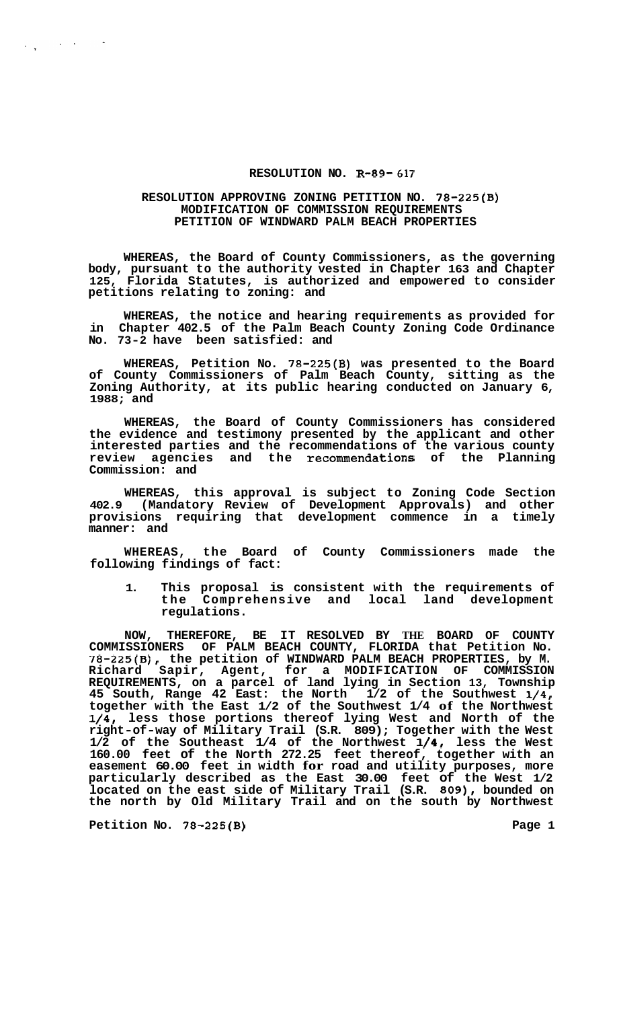## **RESOLUTION NO. R-89- 617**

## **RESOLUTION APPROVING ZONING PETITION NO. 78-225(B) MODIFICATION OF COMMISSION REQUIREMENTS PETITION OF WINDWARD PALM BEACH PROPERTIES**

**WHEREAS, the Board of County Commissioners, as the governing body, pursuant to the authority vested in Chapter 163 and Chapter 125, Florida Statutes, is authorized and empowered to consider petitions relating to zoning: and** 

**WHEREAS, the notice and hearing requirements as provided for in Chapter 402.5 of the Palm Beach County Zoning Code Ordinance No. 73-2 have been satisfied: and** 

**WHEREAS, Petition No. 78-225(B) was presented to the Board of County Commissioners of Palm Beach County, sitting as the Zoning Authority, at its public hearing conducted on January 6, 1988; and** 

**WHEREAS, the Board of County Commissioners has considered the evidence and testimony presented by the applicant and other interested parties and the recommendations of the various county review agencies and the recommendations of the Planning Commission: and** 

**WHEREAS, this approval is subject to Zoning Code Section 402.9 (Mandatory Review of Development Approvals) and other provisions requiring that development commence in a timely manner: and** 

**WHEREAS, the Board of County Commissioners made the following findings of fact:** 

**1. This proposal is consistent with the requirements of the Comprehensive and local land development regulations.** 

**NOW, THEREFORE, BE IT RESOLVED BY THE BOARD OF COUNTY COMMISSIONERS OF PALM BEACH COUNTY, FLORIDA that Petition No. 78-225(B), the petition of WINDWARD PALM BEACH PROPERTIES, by M. Richard Sapir, Agent, for a MODIFICATION OF COMMISSION REQUIREMENTS, on a parcel of land lying in Section 13, Township 45 South, Range 42 East: the North 1/2 of the Southwest 1/4, together with the East 1/2 of the Southwest 1/4 of the Northwest 1/4, less those portions thereof lying West and North of the right-of-way of Military Trail (S.R. 809); Together with the West 1/2 of the Southeast 1/4 of the Northwest 1/4, less the West 160.00 feet of the North 272.25 feet thereof, together with an easement 60.00 feet in width for road and utility purposes, more particularly described as the East 30.00 feet of the West 1/2 located on the east side of Military Trail (S.R. 809), bounded on the north by Old Military Trail and on the south by Northwest** 

**Petition No. 78-225(B)** Page 1

 $\label{eq:2} \frac{1}{\sqrt{2}}\int_{\mathbb{R}^{3}}\left|\frac{d\mathbf{x}}{d\mathbf{x}}\right|^{2}d\mathbf{x}^{2}d\mathbf{x}^{2}d\mathbf{x}^{2}d\mathbf{x}^{2}d\mathbf{x}^{2}d\mathbf{x}^{2}d\mathbf{x}^{2}d\mathbf{x}^{2}d\mathbf{x}^{2}d\mathbf{x}^{2}d\mathbf{x}^{2}d\mathbf{x}^{2}d\mathbf{x}^{2}d\mathbf{x}^{2}d\mathbf{x}^{2}d\mathbf{x}^{2}d\mathbf{x}^{2}d\mathbf{x}^{2}d\mathbf{x$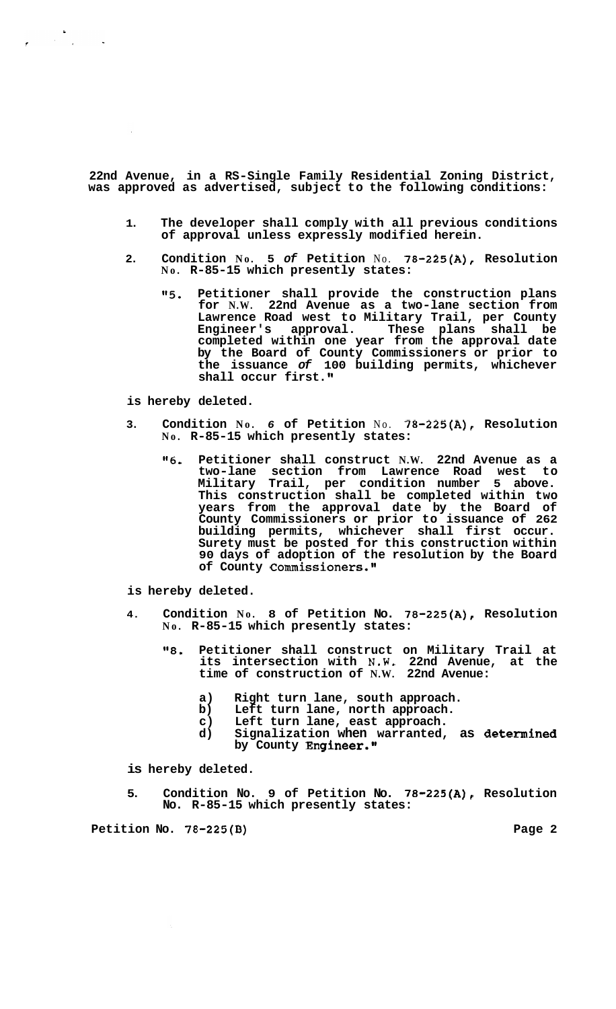**22nd Avenue, in a RS-Single Family Residential Zoning District, was approved as advertised, subject to the following conditions:** 

- **1. The developer shall comply with all previous conditions of approval unless expressly modified herein.**
- **2. Condition No. 5** *of* **Petition** No. **78-225(A), Resolution No. R-85-15 which presently states:** 
	- **"5. Petitioner shall provide the construction plans for N.W. 22nd Avenue as a two-lane section from Lawrence Road west to Military Trail, per County Engineer's approval. These plans shall be completed within one year from the approval date by the Board of County Commissioners or prior to the issuance** *of* **100 building permits, whichever**  shall occur first."

## **is hereby deleted.**

 $\mathbf{y} = \begin{bmatrix} 1 & 0 \\ 0 & 1 \end{bmatrix}$ 

- **3. Condition No.** *6* **of Petition** No. **78-225(A), Resolution No. R-85-15 which presently states:** 
	- *"6.* **Petitioner shall construct N.W. 22nd Avenue as a two-lane section from Lawrence Road west to Trail, per condition number This construction shall be completed within two years from the approval date by the Board of County Commissioners or prior to issuance of 262 building permits, whichever shall first occur. Surety must be posted for this construction within 90 days of adoption of the resolution by the Board of County Commissioners."**

**is hereby deleted.** 

- **4. Condition No. 8 of Petition No. 78-225(A), Resolution No. R-85-15 which presently states:** 
	- **"8. Petitioner shall construct on Military Trail at its intersection with N.W. 22nd Avenue, at the time of construction of N.W. 22nd Avenue:** 
		- **a) Right turn lane, south approach.**
		- Left turn lane, north approach.
		- **c) Left turn lane, east approach.**
		- **d) Signalization when warranted, as determined by County Engineer."**

**is hereby deleted.** 

**5. Condition No. 9 of Petition No. 78-225(A), Resolution No. R-85-15 which presently states:** 

**Petition No. 78-225(B)** Page 2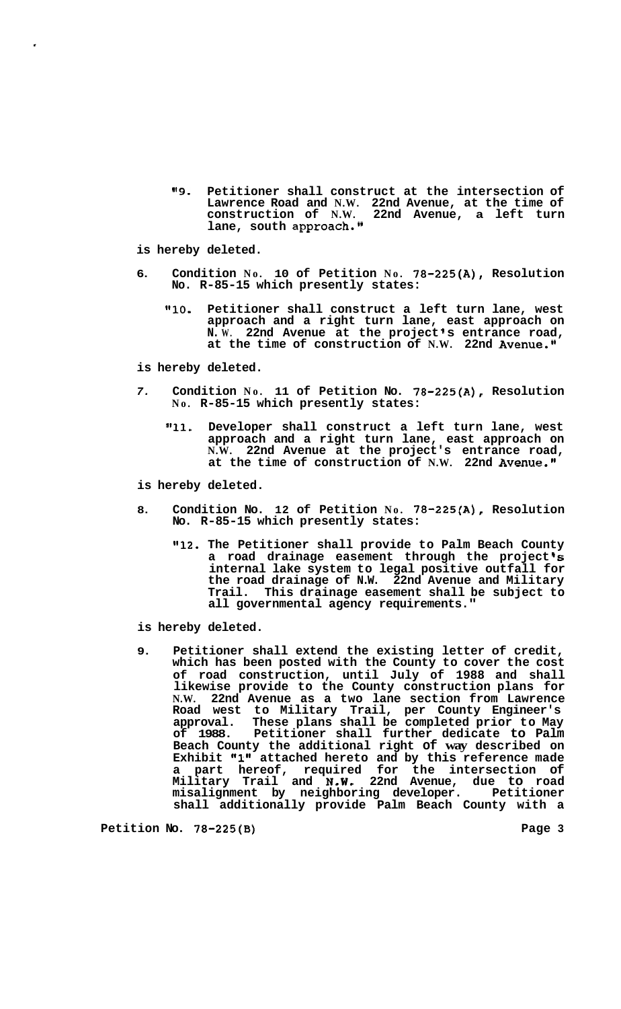**189. Petitioner shall construct at the intersection of Lawrence Road and N.W. 22nd Avenue, at the time of construction of N.W. 22nd Avenue, a left turn lane, south approach."** 

**is hereby deleted.** 

- **6. Condition No. 10 of Petition No. 78-225(A), Resolution No. R-85-15 which presently states:** 
	- "10. Petitioner shall construct a left turn lane, west **approach and a right turn lane, east approach on N. W. 22nd Avenue at the project I s entrance road, at the time of construction of N.W. 22nd Avenue."**

**is hereby deleted.** 

- *7.* **Condition No. 11 of Petition No. 78-225(A), Resolution No. R-85-15 which presently states:** 
	- **"11. Developer shall construct a left turn lane, west approach and a right turn lane, east approach on N.W. 22nd Avenue at the project's entrance road, at the time of construction of N.W. 22nd Avenue."**

**is hereby deleted.** 

- **8. Condition No. 12 of Petition No. 78-225(A), Resolution No. R-85-15 which presently states:** 
	- **l'12. The Petitioner shall provide to Palm Beach County**  a road drainage easement through the project's **internal lake system to legal positive outfall for the road drainage of N.W. 22nd Avenue and Military Trail. This drainage easement shall be subject to all governmental agency requirements."**

**is hereby deleted.** 

**9. Petitioner shall extend the existing letter of credit, which has been posted with the County to cover the cost of road construction, until July of 1988 and shall likewise provide to the County construction plans for N.W. 22nd Avenue as a two lane section from Lawrence Road west to Military Trail, per County Engineer's approval. These plans shall be completed prior to May of 1988. Petitioner shall further dedicate to Palm Beach County the additional right of way described on**  Exhibit "1" attached hereto and by this reference made **a part hereof, required for the intersection of Military Trail and N.W. 22nd Avenue, due to road misalignment by neighboring developer. Petitioner shall additionally provide Palm Beach County with a** 

Petition No. 78-225(B) **Page 3 Page 3**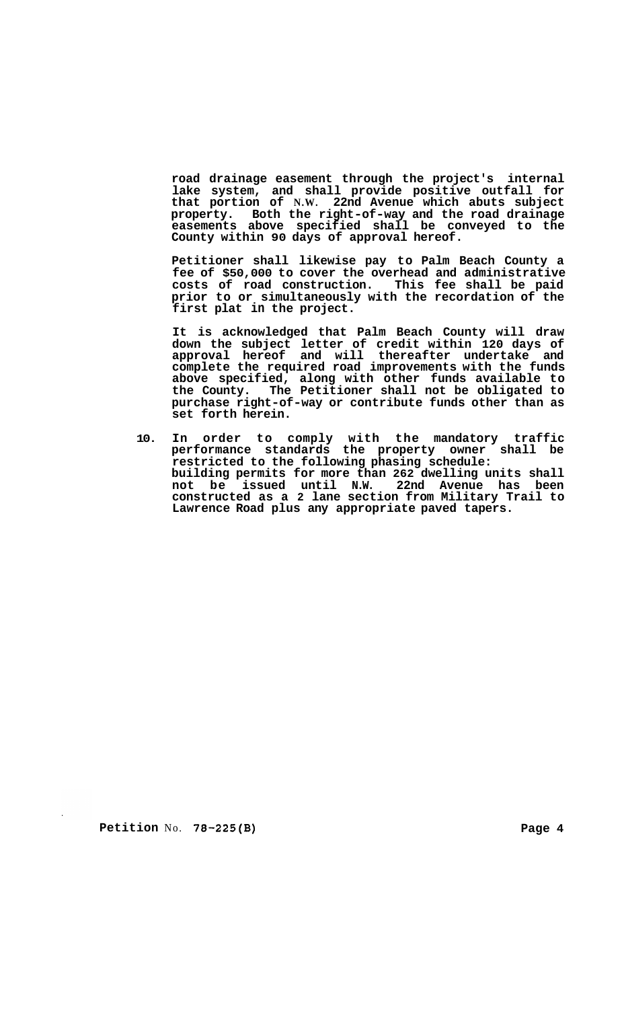**road drainage easement through the project's internal lake system, and shall provide positive outfall for that portion of N.W. 22nd Avenue which abuts subject property. Both the right-of-way and the road drainage easements above specified shall be conveyed to the County within 90 days of approval hereof.** 

**Petitioner shall likewise pay to Palm Beach County a fee of \$50,000 to cover the overhead and administrative costs of road construction. This fee shall be paid prior to or simultaneously with the recordation of the first plat in the project.** 

**It is acknowledged that Palm Beach County will draw down the subject letter of credit within 120 days of approval hereof and will thereafter undertake and complete the required road improvements with the funds above specified, along with other funds available to the County. The Petitioner shall not be obligated to purchase right-of-way or contribute funds other than as set forth herein.** 

**10. In order to comply with the mandatory traffic performance standards the property owner shall be restricted to the following phasing schedule: building permits for more than 262 dwelling units shall not be issued until N.W. 22nd Avenue has been constructed as a 2 lane section from Military Trail to Lawrence Road plus any appropriate paved tapers.** 

**Petition** No. **78-225(B)** Page 4